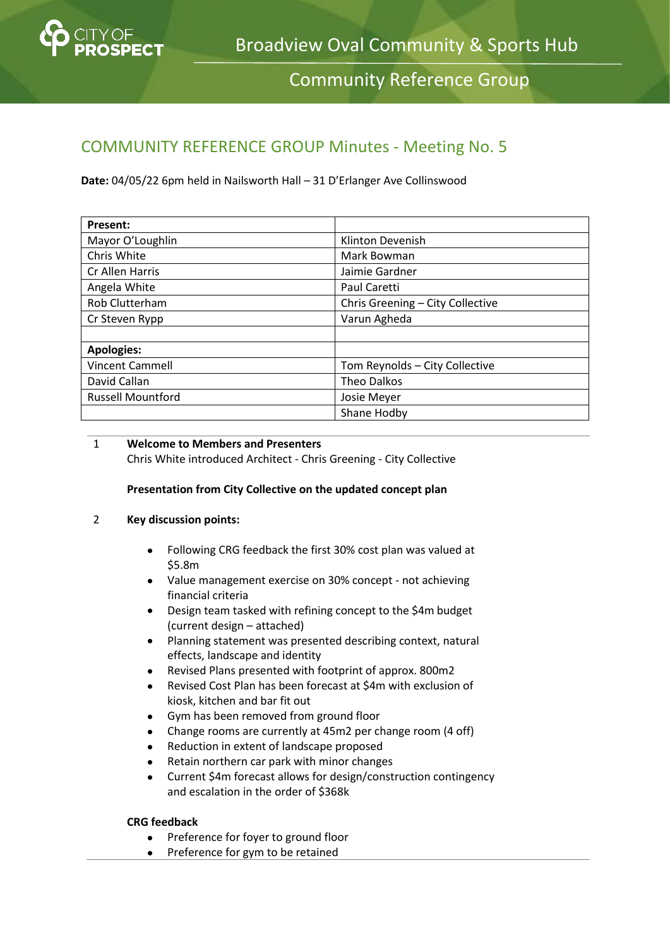

Community Reference Group

# COMMUNITY REFERENCE GROUP Minutes - Meeting No. 5

**Date:** 04/05/22 6pm held in Nailsworth Hall – 31 D'Erlanger Ave Collinswood

| Present:                 |                                  |
|--------------------------|----------------------------------|
| Mayor O'Loughlin         | Klinton Devenish                 |
| Chris White              | Mark Bowman                      |
| Cr Allen Harris          | Jaimie Gardner                   |
| Angela White             | Paul Caretti                     |
| Rob Clutterham           | Chris Greening - City Collective |
| Cr Steven Rypp           | Varun Agheda                     |
|                          |                                  |
| <b>Apologies:</b>        |                                  |
| <b>Vincent Cammell</b>   | Tom Reynolds - City Collective   |
| David Callan             | <b>Theo Dalkos</b>               |
| <b>Russell Mountford</b> | Josie Meyer                      |
|                          | Shane Hodby                      |

#### 1 **Welcome to Members and Presenters**

Chris White introduced Architect - Chris Greening - City Collective

## **Presentation from City Collective on the updated concept plan**

#### 2 **Key discussion points:**

- Following CRG feedback the first 30% cost plan was valued at \$5.8m
- Value management exercise on 30% concept not achieving financial criteria
- Design team tasked with refining concept to the \$4m budget (current design – attached)
- Planning statement was presented describing context, natural effects, landscape and identity
- Revised Plans presented with footprint of approx. 800m2
- Revised Cost Plan has been forecast at \$4m with exclusion of kiosk, kitchen and bar fit out
- Gym has been removed from ground floor
- Change rooms are currently at 45m2 per change room (4 off)
- Reduction in extent of landscape proposed
- Retain northern car park with minor changes
- Current \$4m forecast allows for design/construction contingency and escalation in the order of \$368k

## **CRG feedback**

- Preference for foyer to ground floor
- Preference for gym to be retained